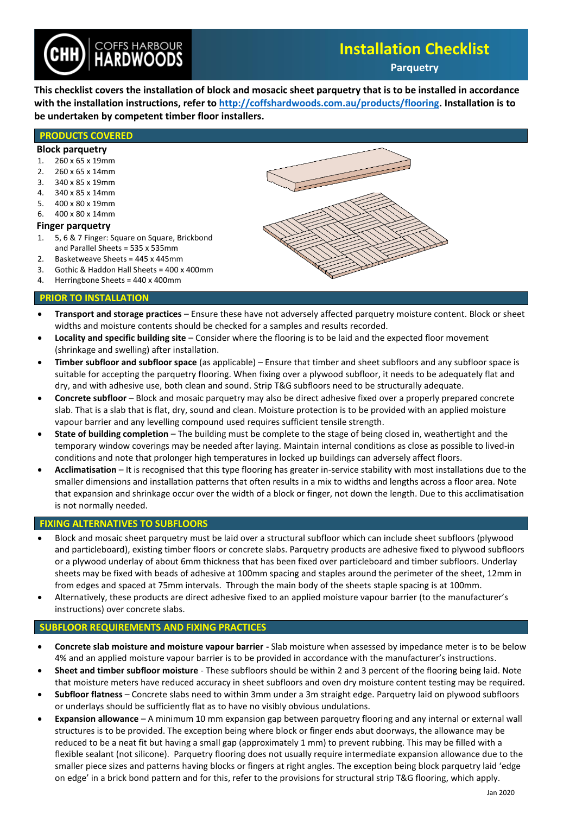

# **Installation Checklist**

**Parquetry**

**This checklist covers the installation of block and mosacic sheet parquetry that is to be installed in accordance with the installation instructions, refer t[o http://coffshardwoods.com.au/products/flooring.](http://coffshardwoods.com.au/products/flooring/) Installation is to be undertaken by competent timber floor installers.**

## **PRODUCTS COVERED**

#### **Block parquetry**

- 1. 260 x 65 x 19mm
- 2. 260 x 65 x 14mm 3. 340 x 85 x 19mm
- 4. 340 x 85 x 14mm
- 
- 5. 400 x 80 x 19mm
- 6. 400 x 80 x 14mm

## **Finger parquetry**

- 1. 5, 6 & 7 Finger: Square on Square, Brickbond and Parallel Sheets = 535 x 535mm
- 2. Basketweave Sheets = 445 x 445mm
- 3. Gothic & Haddon Hall Sheets = 400 x 400mm
- 4. Herringbone Sheets = 440 x 400mm

## **PRIOR TO INSTALLATION**

- **Transport and storage practices** Ensure these have not adversely affected parquetry moisture content. Block or sheet widths and moisture contents should be checked for a samples and results recorded.
- **Locality and specific building site** Consider where the flooring is to be laid and the expected floor movement (shrinkage and swelling) after installation.
- **Timber subfloor and subfloor space** (as applicable) Ensure that timber and sheet subfloors and any subfloor space is suitable for accepting the parquetry flooring. When fixing over a plywood subfloor, it needs to be adequately flat and dry, and with adhesive use, both clean and sound. Strip T&G subfloors need to be structurally adequate.
- **Concrete subfloor**  Block and mosaic parquetry may also be direct adhesive fixed over a properly prepared concrete slab. That is a slab that is flat, dry, sound and clean. Moisture protection is to be provided with an applied moisture vapour barrier and any levelling compound used requires sufficient tensile strength.
- **State of building completion** The building must be complete to the stage of being closed in, weathertight and the temporary window coverings may be needed after laying. Maintain internal conditions as close as possible to lived-in conditions and note that prolonger high temperatures in locked up buildings can adversely affect floors.
- **Acclimatisation** It is recognised that this type flooring has greater in-service stability with most installations due to the smaller dimensions and installation patterns that often results in a mix to widths and lengths across a floor area. Note that expansion and shrinkage occur over the width of a block or finger, not down the length. Due to this acclimatisation is not normally needed.

## **FIXING ALTERNATIVES TO SUBFLOORS**

- Block and mosaic sheet parquetry must be laid over a structural subfloor which can include sheet subfloors (plywood and particleboard), existing timber floors or concrete slabs. Parquetry products are adhesive fixed to plywood subfloors or a plywood underlay of about 6mm thickness that has been fixed over particleboard and timber subfloors. Underlay sheets may be fixed with beads of adhesive at 100mm spacing and staples around the perimeter of the sheet, 12mm in from edges and spaced at 75mm intervals. Through the main body of the sheets staple spacing is at 100mm.
- Alternatively, these products are direct adhesive fixed to an applied moisture vapour barrier (to the manufacturer's instructions) over concrete slabs.

## **SUBFLOOR REQUIREMENTS AND FIXING PRACTICES**

- **Concrete slab moisture and moisture vapour barrier -** Slab moisture when assessed by impedance meter is to be below 4% and an applied moisture vapour barrier is to be provided in accordance with the manufacturer's instructions.
- **Sheet and timber subfloor moisture**  These subfloors should be within 2 and 3 percent of the flooring being laid. Note that moisture meters have reduced accuracy in sheet subfloors and oven dry moisture content testing may be required.
- **Subfloor flatness**  Concrete slabs need to within 3mm under a 3m straight edge. Parquetry laid on plywood subfloors or underlays should be sufficiently flat as to have no visibly obvious undulations.
- **Expansion allowance**  A minimum 10 mm expansion gap between parquetry flooring and any internal or external wall structures is to be provided. The exception being where block or finger ends abut doorways, the allowance may be reduced to be a neat fit but having a small gap (approximately 1 mm) to prevent rubbing. This may be filled with a flexible sealant (not silicone). Parquetry flooring does not usually require intermediate expansion allowance due to the smaller piece sizes and patterns having blocks or fingers at right angles. The exception being block parquetry laid 'edge on edge' in a brick bond pattern and for this, refer to the provisions for structural strip T&G flooring, which apply.